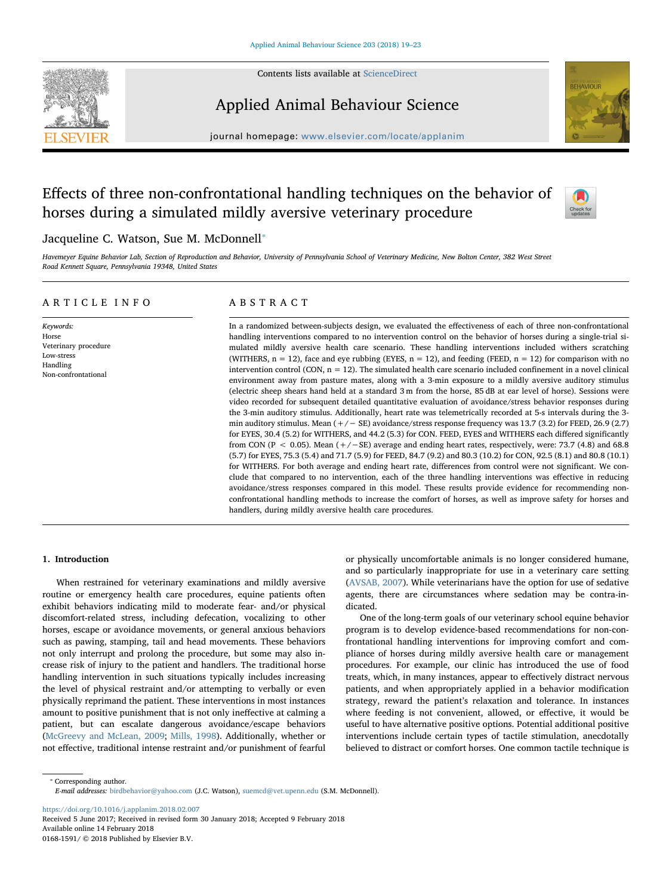

Contents lists available at [ScienceDirect](http://www.sciencedirect.com/science/journal/01681591)

# Applied Animal Behaviour Science



journal homepage: [www.elsevier.com/locate/applanim](https://www.elsevier.com/locate/applanim)

# Effects of three non-confrontational handling techniques on the behavior of horses during a simulated mildly aversive veterinary procedure



## Jacqueline C. Watson, Sue M. McDonnell<sup>\*</sup>

Havemeyer Equine Behavior Lab, Section of Reproduction and Behavior, University of Pennsylvania School of Veterinary Medicine, New Bolton Center, 382 West Street Road Kennett Square, Pennsylvania 19348, United States

## ARTICLE INFO

Keywords: Horse Veterinary procedure Low-stress Handling Non-confrontational

# ABSTRACT

In a randomized between-subjects design, we evaluated the effectiveness of each of three non-confrontational handling interventions compared to no intervention control on the behavior of horses during a single-trial simulated mildly aversive health care scenario. These handling interventions included withers scratching (WITHERS,  $n = 12$ ), face and eye rubbing (EYES,  $n = 12$ ), and feeding (FEED,  $n = 12$ ) for comparison with no intervention control (CON,  $n = 12$ ). The simulated health care scenario included confinement in a novel clinical environment away from pasture mates, along with a 3-min exposure to a mildly aversive auditory stimulus (electric sheep shears hand held at a standard 3 m from the horse, 85 dB at ear level of horse). Sessions were video recorded for subsequent detailed quantitative evaluation of avoidance/stress behavior responses during the 3-min auditory stimulus. Additionally, heart rate was telemetrically recorded at 5-s intervals during the 3 min auditory stimulus. Mean (+/− SE) avoidance/stress response frequency was 13.7 (3.2) for FEED, 26.9 (2.7) for EYES, 30.4 (5.2) for WITHERS, and 44.2 (5.3) for CON. FEED, EYES and WITHERS each differed significantly from CON (P < 0.05). Mean (+/−SE) average and ending heart rates, respectively, were: 73.7 (4.8) and 68.8 (5.7) for EYES, 75.3 (5.4) and 71.7 (5.9) for FEED, 84.7 (9.2) and 80.3 (10.2) for CON, 92.5 (8.1) and 80.8 (10.1) for WITHERS. For both average and ending heart rate, differences from control were not significant. We conclude that compared to no intervention, each of the three handling interventions was effective in reducing avoidance/stress responses compared in this model. These results provide evidence for recommending nonconfrontational handling methods to increase the comfort of horses, as well as improve safety for horses and handlers, during mildly aversive health care procedures.

## 1. Introduction

When restrained for veterinary examinations and mildly aversive routine or emergency health care procedures, equine patients often exhibit behaviors indicating mild to moderate fear- and/or physical discomfort-related stress, including defecation, vocalizing to other horses, escape or avoidance movements, or general anxious behaviors such as pawing, stamping, tail and head movements. These behaviors not only interrupt and prolong the procedure, but some may also increase risk of injury to the patient and handlers. The traditional horse handling intervention in such situations typically includes increasing the level of physical restraint and/or attempting to verbally or even physically reprimand the patient. These interventions in most instances amount to positive punishment that is not only ineffective at calming a patient, but can escalate dangerous avoidance/escape behaviors ([McGreevy and McLean, 2009;](#page-4-0) [Mills, 1998\)](#page-4-1). Additionally, whether or not effective, traditional intense restraint and/or punishment of fearful or physically uncomfortable animals is no longer considered humane, and so particularly inappropriate for use in a veterinary care setting ([AVSAB, 2007](#page-3-0)). While veterinarians have the option for use of sedative agents, there are circumstances where sedation may be contra-indicated.

One of the long-term goals of our veterinary school equine behavior program is to develop evidence-based recommendations for non-confrontational handling interventions for improving comfort and compliance of horses during mildly aversive health care or management procedures. For example, our clinic has introduced the use of food treats, which, in many instances, appear to effectively distract nervous patients, and when appropriately applied in a behavior modification strategy, reward the patient's relaxation and tolerance. In instances where feeding is not convenient, allowed, or effective, it would be useful to have alternative positive options. Potential additional positive interventions include certain types of tactile stimulation, anecdotally believed to distract or comfort horses. One common tactile technique is

<span id="page-0-0"></span>⁎ Corresponding author. E-mail addresses: [birdbehavior@yahoo.com](mailto:birdbehavior@yahoo.com) (J.C. Watson), [suemcd@vet.upenn.edu](mailto:suemcd@vet.upenn.edu) (S.M. McDonnell).

<https://doi.org/10.1016/j.applanim.2018.02.007>

Received 5 June 2017; Received in revised form 30 January 2018; Accepted 9 February 2018 Available online 14 February 2018 0168-1591/ © 2018 Published by Elsevier B.V.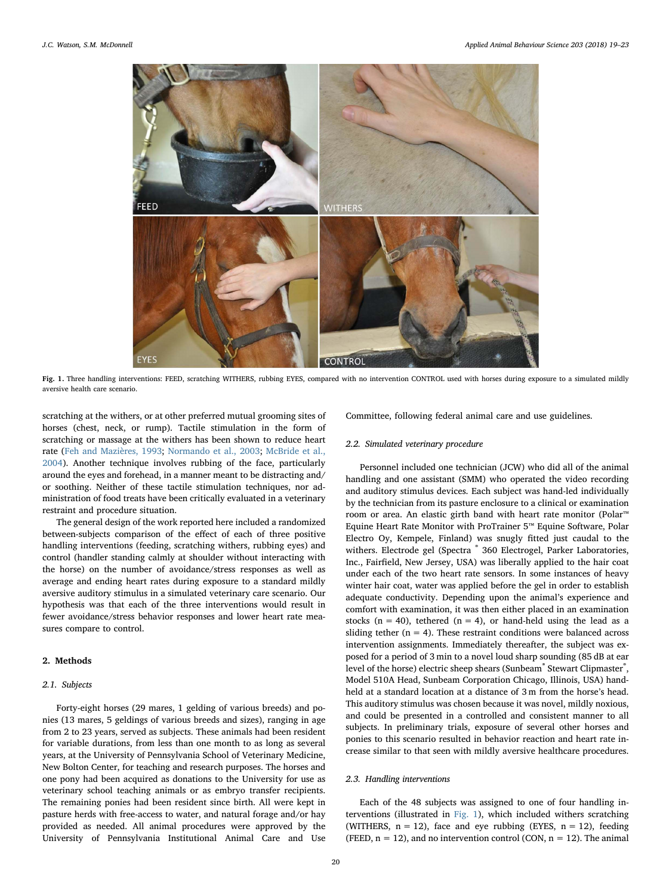<span id="page-1-0"></span>

Fig. 1. Three handling interventions: FEED, scratching WITHERS, rubbing EYES, compared with no intervention CONTROL used with horses during exposure to a simulated mildly aversive health care scenario.

scratching at the withers, or at other preferred mutual grooming sites of horses (chest, neck, or rump). Tactile stimulation in the form of scratching or massage at the withers has been shown to reduce heart rate [\(Feh and Mazières, 1993;](#page-3-1) [Normando et al., 2003;](#page-4-2) [McBride et al.,](#page-3-2) [2004\)](#page-3-2). Another technique involves rubbing of the face, particularly around the eyes and forehead, in a manner meant to be distracting and/ or soothing. Neither of these tactile stimulation techniques, nor administration of food treats have been critically evaluated in a veterinary restraint and procedure situation.

The general design of the work reported here included a randomized between-subjects comparison of the effect of each of three positive handling interventions (feeding, scratching withers, rubbing eyes) and control (handler standing calmly at shoulder without interacting with the horse) on the number of avoidance/stress responses as well as average and ending heart rates during exposure to a standard mildly aversive auditory stimulus in a simulated veterinary care scenario. Our hypothesis was that each of the three interventions would result in fewer avoidance/stress behavior responses and lower heart rate measures compare to control.

## 2. Methods

## 2.1. Subjects

Forty-eight horses (29 mares, 1 gelding of various breeds) and ponies (13 mares, 5 geldings of various breeds and sizes), ranging in age from 2 to 23 years, served as subjects. These animals had been resident for variable durations, from less than one month to as long as several years, at the University of Pennsylvania School of Veterinary Medicine, New Bolton Center, for teaching and research purposes. The horses and one pony had been acquired as donations to the University for use as veterinary school teaching animals or as embryo transfer recipients. The remaining ponies had been resident since birth. All were kept in pasture herds with free-access to water, and natural forage and/or hay provided as needed. All animal procedures were approved by the University of Pennsylvania Institutional Animal Care and Use

Committee, following federal animal care and use guidelines.

## 2.2. Simulated veterinary procedure

Personnel included one technician (JCW) who did all of the animal handling and one assistant (SMM) who operated the video recording and auditory stimulus devices. Each subject was hand-led individually by the technician from its pasture enclosure to a clinical or examination room or area. An elastic girth band with heart rate monitor (Polar™ Equine Heart Rate Monitor with ProTrainer 5™ Equine Software, Polar Electro Oy, Kempele, Finland) was snugly fitted just caudal to the withers. Electrode gel (Spectra ® 360 Electrogel, Parker Laboratories, Inc., Fairfield, New Jersey, USA) was liberally applied to the hair coat under each of the two heart rate sensors. In some instances of heavy winter hair coat, water was applied before the gel in order to establish adequate conductivity. Depending upon the animal's experience and comfort with examination, it was then either placed in an examination stocks ( $n = 40$ ), tethered ( $n = 4$ ), or hand-held using the lead as a sliding tether ( $n = 4$ ). These restraint conditions were balanced across intervention assignments. Immediately thereafter, the subject was exposed for a period of 3 min to a novel loud sharp sounding (85 dB at ear level of the horse) electric sheep shears (Sunbeam<sup>®</sup> Stewart Clipmaster<sup>®</sup>, Model 510A Head, Sunbeam Corporation Chicago, Illinois, USA) handheld at a standard location at a distance of 3 m from the horse's head. This auditory stimulus was chosen because it was novel, mildly noxious, and could be presented in a controlled and consistent manner to all subjects. In preliminary trials, exposure of several other horses and ponies to this scenario resulted in behavior reaction and heart rate increase similar to that seen with mildly aversive healthcare procedures.

#### 2.3. Handling interventions

Each of the 48 subjects was assigned to one of four handling interventions (illustrated in [Fig. 1\)](#page-1-0), which included withers scratching (WITHERS,  $n = 12$ ), face and eye rubbing (EYES,  $n = 12$ ), feeding (FEED,  $n = 12$ ), and no intervention control (CON,  $n = 12$ ). The animal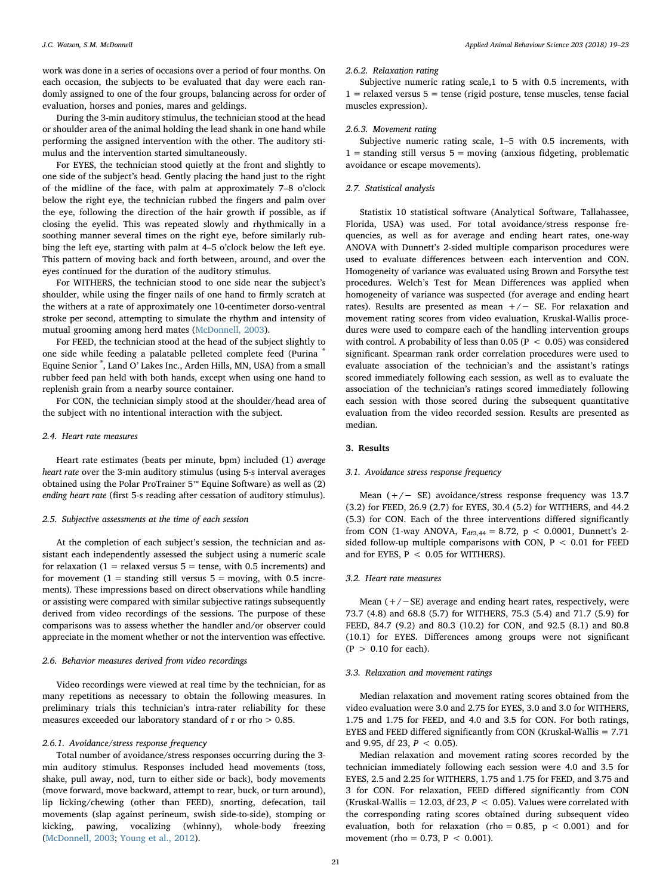work was done in a series of occasions over a period of four months. On each occasion, the subjects to be evaluated that day were each randomly assigned to one of the four groups, balancing across for order of evaluation, horses and ponies, mares and geldings.

During the 3-min auditory stimulus, the technician stood at the head or shoulder area of the animal holding the lead shank in one hand while performing the assigned intervention with the other. The auditory stimulus and the intervention started simultaneously.

For EYES, the technician stood quietly at the front and slightly to one side of the subject's head. Gently placing the hand just to the right of the midline of the face, with palm at approximately 7–8 o'clock below the right eye, the technician rubbed the fingers and palm over the eye, following the direction of the hair growth if possible, as if closing the eyelid. This was repeated slowly and rhythmically in a soothing manner several times on the right eye, before similarly rubbing the left eye, starting with palm at 4–5 o'clock below the left eye. This pattern of moving back and forth between, around, and over the eyes continued for the duration of the auditory stimulus.

For WITHERS, the technician stood to one side near the subject's shoulder, while using the finger nails of one hand to firmly scratch at the withers at a rate of approximately one 10-centimeter dorso-ventral stroke per second, attempting to simulate the rhythm and intensity of mutual grooming among herd mates [\(McDonnell, 2003](#page-4-3)).

For FEED, the technician stood at the head of the subject slightly to one side while feeding a palatable pelleted complete feed (Purina Equine Senior ® , Land O' Lakes Inc., Arden Hills, MN, USA) from a small rubber feed pan held with both hands, except when using one hand to replenish grain from a nearby source container.

For CON, the technician simply stood at the shoulder/head area of the subject with no intentional interaction with the subject.

#### 2.4. Heart rate measures

Heart rate estimates (beats per minute, bpm) included (1) average heart rate over the 3-min auditory stimulus (using 5-s interval averages obtained using the Polar ProTrainer 5™ Equine Software) as well as (2) ending heart rate (first 5-s reading after cessation of auditory stimulus).

#### 2.5. Subjective assessments at the time of each session

At the completion of each subject's session, the technician and assistant each independently assessed the subject using a numeric scale for relaxation  $(1 =$  relaxed versus  $5 =$  tense, with 0.5 increments) and for movement  $(1 =$  standing still versus  $5 =$  moving, with 0.5 increments). These impressions based on direct observations while handling or assisting were compared with similar subjective ratings subsequently derived from video recordings of the sessions. The purpose of these comparisons was to assess whether the handler and/or observer could appreciate in the moment whether or not the intervention was effective.

#### 2.6. Behavior measures derived from video recordings

Video recordings were viewed at real time by the technician, for as many repetitions as necessary to obtain the following measures. In preliminary trials this technician's intra-rater reliability for these measures exceeded our laboratory standard of r or rho > 0.85.

## 2.6.1. Avoidance/stress response frequency

Total number of avoidance/stress responses occurring during the 3 min auditory stimulus. Responses included head movements (toss, shake, pull away, nod, turn to either side or back), body movements (move forward, move backward, attempt to rear, buck, or turn around), lip licking/chewing (other than FEED), snorting, defecation, tail movements (slap against perineum, swish side-to-side), stomping or kicking, pawing, vocalizing (whinny), whole-body freezing ([McDonnell, 2003;](#page-4-3) [Young et al., 2012\)](#page-4-4).

#### 2.6.2. Relaxation rating

Subjective numeric rating scale,1 to 5 with 0.5 increments, with  $1$  = relaxed versus  $5$  = tense (rigid posture, tense muscles, tense facial muscles expression).

#### 2.6.3. Movement rating

Subjective numeric rating scale, 1–5 with 0.5 increments, with  $1 =$  standing still versus  $5 =$  moving (anxious fidgeting, problematic avoidance or escape movements).

## 2.7. Statistical analysis

Statistix 10 statistical software (Analytical Software, Tallahassee, Florida, USA) was used. For total avoidance/stress response frequencies, as well as for average and ending heart rates, one-way ANOVA with Dunnett's 2-sided multiple comparison procedures were used to evaluate differences between each intervention and CON. Homogeneity of variance was evaluated using Brown and Forsythe test procedures. Welch's Test for Mean Differences was applied when homogeneity of variance was suspected (for average and ending heart rates). Results are presented as mean  $+/-$  SE. For relaxation and movement rating scores from video evaluation, Kruskal-Wallis procedures were used to compare each of the handling intervention groups with control. A probability of less than 0.05 ( $P < 0.05$ ) was considered significant. Spearman rank order correlation procedures were used to evaluate association of the technician's and the assistant's ratings scored immediately following each session, as well as to evaluate the association of the technician's ratings scored immediately following each session with those scored during the subsequent quantitative evaluation from the video recorded session. Results are presented as median.

## 3. Results

### 3.1. Avoidance stress response frequency

Mean (+/− SE) avoidance/stress response frequency was 13.7 (3.2) for FEED, 26.9 (2.7) for EYES, 30.4 (5.2) for WITHERS, and 44.2 (5.3) for CON. Each of the three interventions differed significantly from CON (1-way ANOVA,  $F_{df3,44} = 8.72$ ,  $p < 0.0001$ , Dunnett's 2sided follow-up multiple comparisons with CON,  $P < 0.01$  for FEED and for EYES,  $P < 0.05$  for WITHERS).

#### 3.2. Heart rate measures

Mean (+/−SE) average and ending heart rates, respectively, were 73.7 (4.8) and 68.8 (5.7) for WITHERS, 75.3 (5.4) and 71.7 (5.9) for FEED, 84.7 (9.2) and 80.3 (10.2) for CON, and 92.5 (8.1) and 80.8 (10.1) for EYES. Differences among groups were not significant  $(P > 0.10$  for each).

#### 3.3. Relaxation and movement ratings

Median relaxation and movement rating scores obtained from the video evaluation were 3.0 and 2.75 for EYES, 3.0 and 3.0 for WITHERS, 1.75 and 1.75 for FEED, and 4.0 and 3.5 for CON. For both ratings, EYES and FEED differed significantly from CON (Kruskal-Wallis = 7.71 and 9.95, df 23,  $P < 0.05$ ).

Median relaxation and movement rating scores recorded by the technician immediately following each session were 4.0 and 3.5 for EYES, 2.5 and 2.25 for WITHERS, 1.75 and 1.75 for FEED, and 3.75 and 3 for CON. For relaxation, FEED differed significantly from CON (Kruskal-Wallis = 12.03, df 23,  $P < 0.05$ ). Values were correlated with the corresponding rating scores obtained during subsequent video evaluation, both for relaxation (rho = 0.85,  $p < 0.001$ ) and for movement (rho = 0.73,  $P < 0.001$ ).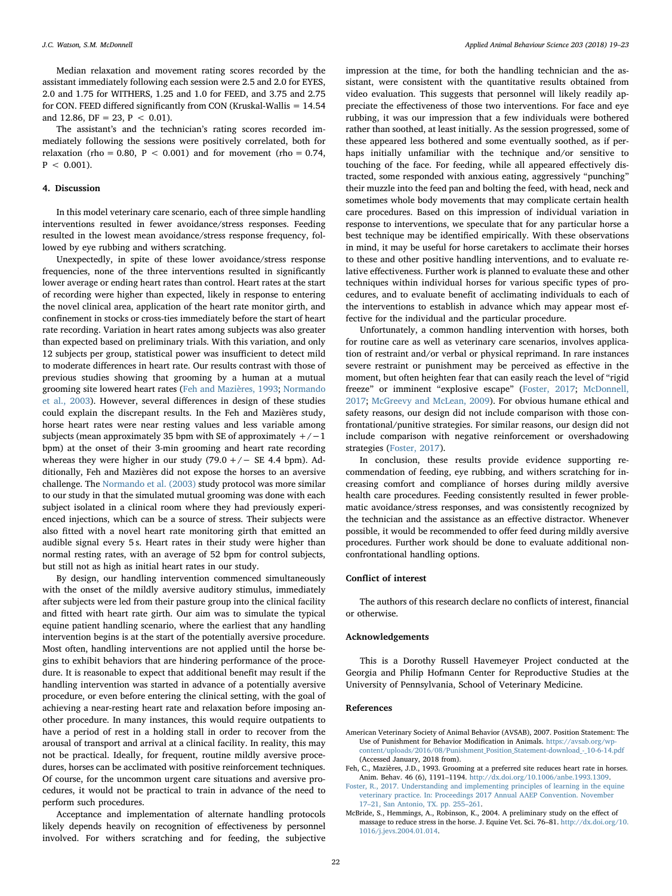Median relaxation and movement rating scores recorded by the assistant immediately following each session were 2.5 and 2.0 for EYES, 2.0 and 1.75 for WITHERS, 1.25 and 1.0 for FEED, and 3.75 and 2.75 for CON. FEED differed significantly from CON (Kruskal-Wallis = 14.54 and 12.86, DF = 23, P < 0.01).

The assistant's and the technician's rating scores recorded immediately following the sessions were positively correlated, both for relaxation (rho =  $0.80$ , P <  $0.001$ ) and for movement (rho =  $0.74$ ,  $P < 0.001$ ).

## 4. Discussion

In this model veterinary care scenario, each of three simple handling interventions resulted in fewer avoidance/stress responses. Feeding resulted in the lowest mean avoidance/stress response frequency, followed by eye rubbing and withers scratching.

Unexpectedly, in spite of these lower avoidance/stress response frequencies, none of the three interventions resulted in significantly lower average or ending heart rates than control. Heart rates at the start of recording were higher than expected, likely in response to entering the novel clinical area, application of the heart rate monitor girth, and confinement in stocks or cross-ties immediately before the start of heart rate recording. Variation in heart rates among subjects was also greater than expected based on preliminary trials. With this variation, and only 12 subjects per group, statistical power was insufficient to detect mild to moderate differences in heart rate. Our results contrast with those of previous studies showing that grooming by a human at a mutual grooming site lowered heart rates [\(Feh and Mazières, 1993;](#page-3-1) [Normando](#page-4-2) [et al., 2003\)](#page-4-2). However, several differences in design of these studies could explain the discrepant results. In the Feh and Mazières study, horse heart rates were near resting values and less variable among subjects (mean approximately 35 bpm with SE of approximately  $+/-1$ bpm) at the onset of their 3-min grooming and heart rate recording whereas they were higher in our study  $(79.0 +/-$  SE 4.4 bpm). Additionally, Feh and Mazières did not expose the horses to an aversive challenge. The [Normando et al. \(2003\)](#page-4-2) study protocol was more similar to our study in that the simulated mutual grooming was done with each subject isolated in a clinical room where they had previously experienced injections, which can be a source of stress. Their subjects were also fitted with a novel heart rate monitoring girth that emitted an audible signal every 5 s. Heart rates in their study were higher than normal resting rates, with an average of 52 bpm for control subjects, but still not as high as initial heart rates in our study.

By design, our handling intervention commenced simultaneously with the onset of the mildly aversive auditory stimulus, immediately after subjects were led from their pasture group into the clinical facility and fitted with heart rate girth. Our aim was to simulate the typical equine patient handling scenario, where the earliest that any handling intervention begins is at the start of the potentially aversive procedure. Most often, handling interventions are not applied until the horse begins to exhibit behaviors that are hindering performance of the procedure. It is reasonable to expect that additional benefit may result if the handling intervention was started in advance of a potentially aversive procedure, or even before entering the clinical setting, with the goal of achieving a near-resting heart rate and relaxation before imposing another procedure. In many instances, this would require outpatients to have a period of rest in a holding stall in order to recover from the arousal of transport and arrival at a clinical facility. In reality, this may not be practical. Ideally, for frequent, routine mildly aversive procedures, horses can be acclimated with positive reinforcement techniques. Of course, for the uncommon urgent care situations and aversive procedures, it would not be practical to train in advance of the need to perform such procedures.

Acceptance and implementation of alternate handling protocols likely depends heavily on recognition of effectiveness by personnel involved. For withers scratching and for feeding, the subjective impression at the time, for both the handling technician and the assistant, were consistent with the quantitative results obtained from video evaluation. This suggests that personnel will likely readily appreciate the effectiveness of those two interventions. For face and eye rubbing, it was our impression that a few individuals were bothered rather than soothed, at least initially. As the session progressed, some of these appeared less bothered and some eventually soothed, as if perhaps initially unfamiliar with the technique and/or sensitive to touching of the face. For feeding, while all appeared effectively distracted, some responded with anxious eating, aggressively "punching" their muzzle into the feed pan and bolting the feed, with head, neck and sometimes whole body movements that may complicate certain health care procedures. Based on this impression of individual variation in response to interventions, we speculate that for any particular horse a best technique may be identified empirically. With these observations in mind, it may be useful for horse caretakers to acclimate their horses to these and other positive handling interventions, and to evaluate relative effectiveness. Further work is planned to evaluate these and other techniques within individual horses for various specific types of procedures, and to evaluate benefit of acclimating individuals to each of the interventions to establish in advance which may appear most effective for the individual and the particular procedure.

Unfortunately, a common handling intervention with horses, both for routine care as well as veterinary care scenarios, involves application of restraint and/or verbal or physical reprimand. In rare instances severe restraint or punishment may be perceived as effective in the moment, but often heighten fear that can easily reach the level of "rigid freeze" or imminent "explosive escape" [\(Foster, 2017](#page-3-3); [McDonnell,](#page-4-5) [2017;](#page-4-5) [McGreevy and McLean, 2009](#page-4-0)). For obvious humane ethical and safety reasons, our design did not include comparison with those confrontational/punitive strategies. For similar reasons, our design did not include comparison with negative reinforcement or overshadowing strategies ([Foster, 2017\)](#page-3-3).

In conclusion, these results provide evidence supporting recommendation of feeding, eye rubbing, and withers scratching for increasing comfort and compliance of horses during mildly aversive health care procedures. Feeding consistently resulted in fewer problematic avoidance/stress responses, and was consistently recognized by the technician and the assistance as an effective distractor. Whenever possible, it would be recommended to offer feed during mildly aversive procedures. Further work should be done to evaluate additional nonconfrontational handling options.

#### Conflict of interest

The authors of this research declare no conflicts of interest, financial or otherwise.

#### Acknowledgements

This is a Dorothy Russell Havemeyer Project conducted at the Georgia and Philip Hofmann Center for Reproductive Studies at the University of Pennsylvania, School of Veterinary Medicine.

#### References

- <span id="page-3-0"></span>American Veterinary Society of Animal Behavior (AVSAB), 2007. Position Statement: The Use of Punishment for Behavior Modification in Animals. [https://avsab.org/wp](https://avsab.org/wp-content/uploads/2016/08/Punishment_Position_Statement-download_-_10-6-14.pdf)[content/uploads/2016/08/Punishment\\_Position\\_Statement-download\\_-\\_10-6-14.pdf](https://avsab.org/wp-content/uploads/2016/08/Punishment_Position_Statement-download_-_10-6-14.pdf) (Accessed January, 2018 from).
- <span id="page-3-1"></span>Feh, C., Mazières, J.D., 1993. Grooming at a preferred site reduces heart rate in horses. Anim. Behav. 46 (6), 1191–1194. <http://dx.doi.org/10.1006/anbe.1993.1309>.
- <span id="page-3-3"></span>[Foster, R., 2017. Understanding and implementing principles of learning in the equine](http://refhub.elsevier.com/S0168-1591(18)30071-6/sbref0015) [veterinary practice. In: Proceedings 2017 Annual AAEP Convention. November](http://refhub.elsevier.com/S0168-1591(18)30071-6/sbref0015) 17–[21, San Antonio, TX. pp. 255](http://refhub.elsevier.com/S0168-1591(18)30071-6/sbref0015)–261.
- <span id="page-3-2"></span>McBride, S., Hemmings, A., Robinson, K., 2004. A preliminary study on the effect of massage to reduce stress in the horse. J. Equine Vet. Sci. 76–81. [http://dx.doi.org/10.](http://dx.doi.org/10.1016/j.jevs.2004.01.014) [1016/j.jevs.2004.01.014](http://dx.doi.org/10.1016/j.jevs.2004.01.014).